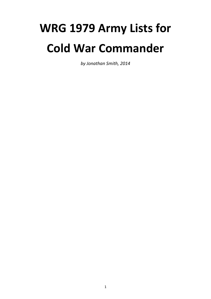# **WRG 1979 Army Lists for Cold War Commander**

*by Jonathan Smith, 2014*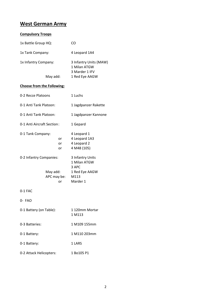## **West German Army**

#### **Compulsory Troops**

| 1x Battle Group HQ:  | CO                                                       |
|----------------------|----------------------------------------------------------|
| 1x Tank Company:     | 4 Leopard 1A4                                            |
| 1x Infantry Company: | 3 Infantry Units (MAW)<br>1 Milan ATGW<br>3 Marder 1 IFV |
| May add:             | 1 Red Eye AAGW                                           |

#### **Choose from the Following:**

| 0-2 Recce Platoons         |                   | 1 Luchs                                                    |
|----------------------------|-------------------|------------------------------------------------------------|
| 0-1 Anti Tank Platoon:     |                   | 1 Jagdpanzer Rakette                                       |
| 0-1 Anti Tank Platoon:     |                   | 1 Jagdpanzer Kannone                                       |
| 0-1 Anti Aircraft Section: |                   | 1 Gepard                                                   |
| 0-1 Tank Company:          | or.<br>or<br>or   | 4 Leopard 1<br>4 Leopard 1A3<br>4 Leopard 2<br>4 M48 (105) |
| 0-2 Infantry Companies:    |                   | 3 Infantry Units<br>1 Milan ATGW<br>3 APC                  |
| May add:                   | APC may be:<br>or | 1 Red Eye AAGW<br>M113<br>Marder 1                         |
| 0-1 FAC                    |                   |                                                            |
| 0- FAO                     |                   |                                                            |
| 0-1 Battery (on Table):    |                   | 1 120mm Mortar<br>1 M113                                   |
| 0-3 Batteries:             |                   | 1 M109 155mm                                               |
| 0-1 Battery:               |                   | 1 M110 203mm                                               |
| 0-1 Battery:               |                   | 1 LARS                                                     |
|                            |                   |                                                            |

0-2 Attack Helicopters: 1 Bo105 P1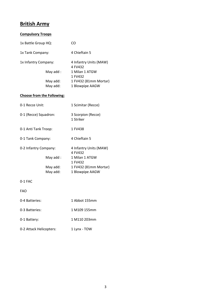## **British Army**

| <b>Compulsory Troops</b> |                                   |                                                                                                            |
|--------------------------|-----------------------------------|------------------------------------------------------------------------------------------------------------|
| 1x Battle Group HQ:      |                                   | CO                                                                                                         |
| 1x Tank Company:         |                                   | 4 Chieftain 5                                                                                              |
| 1x Infantry Company:     | May add:<br>May add:<br>May add:  | 4 Infantry Units (MAW)<br>4 FV432<br>1 Milan 1 ATGW<br>1 FV432<br>1 FV432 (81mm Mortar)<br>1 Blowpipe AAGW |
|                          | <b>Choose from the Following:</b> |                                                                                                            |
| 0-1 Recce Unit:          |                                   | 1 Scimitar (Recce)                                                                                         |
| 0-1 (Recce) Squadron:    |                                   | 3 Scorpion (Recce)<br>1 Striker                                                                            |
| 0-1 Anti Tank Troop:     |                                   | 1 FV438                                                                                                    |
| 0-1 Tank Company:        |                                   | 4 Chieftain 5                                                                                              |
| 0-2 Infantry Company:    | May add:<br>May add:<br>May add:  | 4 Infantry Units (MAW)<br>4 FV432<br>1 Milan 1 ATGW<br>1 FV432<br>1 FV432 (81mm Mortar)<br>1 Blowpipe AAGW |
| 0-1 FAC                  |                                   |                                                                                                            |
| FAO                      |                                   |                                                                                                            |
| 0-4 Batteries:           |                                   | 1 Abbot 155mm                                                                                              |

| 0-4 Batteries:          | 1 Abbot 155mm |
|-------------------------|---------------|
| 0-3 Batteries:          | 1 M109 155mm  |
| 0-1 Battery:            | 1 M110 203mm  |
| 0-2 Attack Helicopters: | 1 Lynx - TOW  |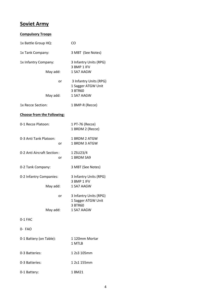## **Soviet Army**

| <b>Compulsory Troops</b>          |                                                                       |
|-----------------------------------|-----------------------------------------------------------------------|
| 1x Battle Group HQ:               | CO                                                                    |
| 1x Tank Company:                  | 3 MBT (See Notes)                                                     |
| 1x Infantry Company:              | 3 Infantry Units (RPG)                                                |
| May add:                          | 3 BMP 1 IFV<br>1 SA7 AAGW                                             |
| or                                | 3 Infantry Units (RPG)<br>1 Sagger ATGW Unit                          |
| May add:                          | 3 BTR60<br>1 SA7 AAGW                                                 |
| 1x Recce Section:                 | 1 BMP-R (Recce)                                                       |
| <b>Choose from the Following:</b> |                                                                       |
| 0-1 Recce Platoon:                | 1 PT-76 (Recce)<br>1 BRDM 2 (Recce)                                   |
| 0-3 Anti Tank Platoon:<br>or      | 1 BRDM 2 ATGW<br>1 BRDM 3 ATGW                                        |
| 0-2 Anti Aircraft Section:<br>or  | 1 ZSU23/4<br>1 BRDM SA9                                               |
| 0-2 Tank Company:                 | 3 MBT (See Notes)                                                     |
| 0-2 Infantry Companies:           | 3 Infantry Units (RPG)<br>3 BMP 1 IFV                                 |
| May add:                          | 1 SA7 AAGW                                                            |
| or                                | 3 Infantry Units (RPG)<br>1 Sagger ATGW Unit<br>3 BTR60<br>1 SA7 AAGW |
| May add:<br>$0-1$ FAC             |                                                                       |
|                                   |                                                                       |
| 0- FAO                            |                                                                       |
| 0-1 Battery (on Table):           | 1 120mm Mortar<br>1 MTLB                                              |
| 0-3 Batteries:                    | 1 2s3 105mm                                                           |
| 0-3 Batteries:                    | 1 2s1 155mm                                                           |
| 0-1 Battery:                      | 1 BM21                                                                |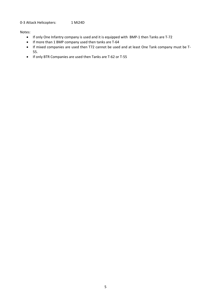#### 0-3 Attack Helicopters: 1 Mi24D

Notes:

- If only One Infantry company is used and it is equipped with BMP-1 then Tanks are T-72
- If more than 1 BMP company used then tanks are T-64
- If mixed companies are used then T72 cannot be used and at least One Tank company must be T-55.
- If only BTR Companies are used then Tanks are T-62 or T-55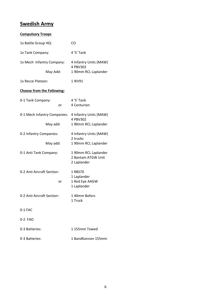## **Swedish Army**

| <b>Compulsory Troops</b>                 |                                                            |  |
|------------------------------------------|------------------------------------------------------------|--|
| 1x Battle Group HQ:                      | CO                                                         |  |
| 1x Tank Company:                         | 4 'S' Tank                                                 |  |
| 1x Mech Infantry Company:                | 4 Infantry Units (MAW)                                     |  |
| May Add:                                 | 4 PBV302<br>1 90mm RCL Laplander                           |  |
| 1x Recce Platoon:                        | 1 IKV91                                                    |  |
| <b>Choose from the Following:</b>        |                                                            |  |
| 0-1 Tank Company:<br>or                  | 4 'S' Tank<br>4 Centurion                                  |  |
| 0-1 Mech Infantry Companies:<br>May add: | 4 Infantry Units (MAW)<br>4 PBV302<br>1 90mm RCL Laplander |  |
| 0-2 Infantry Companies:<br>May add:      | 4 Infantry Units (MAW)<br>2 trucks<br>1 90mm RCL Laplander |  |
| 0-1 Anti Tank Company:                   | 1 90mm RCL Laplander<br>2 Bantam ATGW Unit<br>2 Laplander  |  |
| 0-2 Anti Aircraft Section:<br>or         | 1 RBS70<br>1 Laplander<br>1 Red Eye AAGW<br>1 Laplander    |  |
| 0-2 Anti Aircraft Section:               | 140mm Bofors<br>1 Truck                                    |  |
| $0-1$ FAC                                |                                                            |  |
| 0-2 FAO                                  |                                                            |  |
| 0-3 Batteries:                           | 1155mm Towed                                               |  |
| 0-3 Batteries:                           | 1 BandKannon 155mm                                         |  |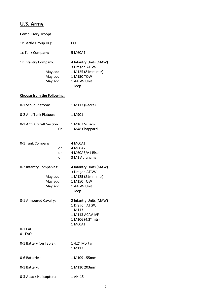# **U.S. Army**

| <b>Compulsory Troops</b>                                    |                |                                                                                                      |  |
|-------------------------------------------------------------|----------------|------------------------------------------------------------------------------------------------------|--|
| 1x Battle Group HQ:                                         |                | CO                                                                                                   |  |
| 1x Tank Company:                                            |                | 5 M60A1                                                                                              |  |
| 1x Infantry Company:<br>May add:<br>May add:<br>May add:    |                | 4 Infantry Units (MAW)<br>3 Dragon ATGW<br>1 M125 (81mm mtr)<br>1 M150 TOW<br>1 AAGW Unit<br>1 Jeep  |  |
| <b>Choose from the Following:</b>                           |                |                                                                                                      |  |
| 0-1 Scout Platoons                                          |                | 1 M113 (Recce)                                                                                       |  |
| 0-2 Anti Tank Platoon:                                      |                | 1 M901                                                                                               |  |
| 0-1 Anti Aircraft Section:<br>0r                            |                | 1 M163 Vulacn<br>1 M48 Chapparal                                                                     |  |
| 0-1 Tank Company:                                           | or<br>or<br>or | 4 M60A1<br>4 M60A2<br>4 M60A3/A1 Rise<br>3 M1 Abrahams                                               |  |
| 0-2 Infantry Companies:<br>May add:<br>May add:<br>May add: |                | 4 Infantry Units (MAW)<br>3 Dragon ATGW<br>1 M125 (81mm mtr)<br>1 M150 TOW<br>1 AAGW Unit<br>1 Jeep  |  |
| 0-1 Armoured Cavalry:                                       |                | 2 Infantry Units (MAW)<br>1 Dragon ATGW<br>1 M113<br>1 M113 ACAV IVF<br>1 M106 (4.2" mtr)<br>1 M60A1 |  |
| $0-1$ FAC<br>0- FAO                                         |                |                                                                                                      |  |
| 0-1 Battery (on Table):                                     |                | 14.2" Mortar<br>1 M113                                                                               |  |
| 0-6 Batteries:                                              |                | 1 M109 155mm                                                                                         |  |
| 0-1 Battery:                                                |                | 1 M110 203mm                                                                                         |  |
| 0-3 Attack Helicopters:                                     |                | 1 AH-15                                                                                              |  |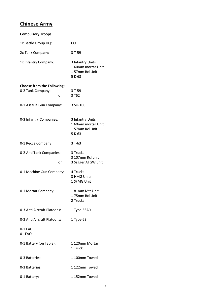## **Chinese Army**

| <b>Compulsory Troops</b>          |                                                                    |
|-----------------------------------|--------------------------------------------------------------------|
| 1x Battle Group HQ:               | CO                                                                 |
| 2x Tank Company:                  | 3 T-59                                                             |
| 1x Infantry Company:              | 3 Infantry Units<br>1 60mm mortar Unit<br>157mm Rcl Unit<br>5 K-63 |
| <b>Choose from the Following:</b> |                                                                    |
| 0-2 Tank Company:                 | 3 T-59                                                             |
| or                                | 3 T62                                                              |
| 0-1 Assault Gun Company:          | 3 SU-100                                                           |
| 0-3 Infantry Companies:           | 3 Infantry Units<br>160mm mortar Unit<br>157mm Rcl Unit<br>5 K-63  |
| 0-1 Recce Company                 | $3T-63$                                                            |
| 0-2 Anti Tank Companies:<br>or    | 3 Trucks<br>3 107mm Rcl unit<br>3 Sagger ATGW unit                 |
| 0-1 Machine Gun Company:          | 4 Trucks<br>3 HMG Units<br>1 SFMG Unit                             |
| 0-1 Mortar Company:               | 1 81mm Mtr Unit<br>175mm Rcl Unit<br>2 Trucks                      |
| 0-3 Anti Aircraft Platoons:       | 1 Type 56A's                                                       |
| 0-3 Anti Aircraft Platoons:       | 1 Type 63                                                          |
| 0-1 FAC<br>0- FAO                 |                                                                    |
| 0-1 Battery (on Table):           | 1 120mm Mortar<br>1 Truck                                          |
| 0-3 Batteries:                    | 1 100mm Towed                                                      |
| 0-3 Batteries:                    | 1122mm Towed                                                       |
| 0-1 Battery:                      | 1152mm Towed                                                       |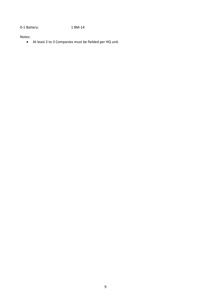0-1 Battery: 1 BM-14

Notes:

At least 2 to 3 Companies must be fielded per HQ unit.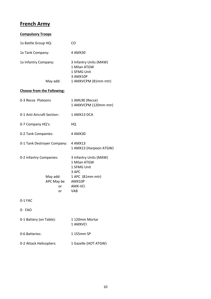## **French Army**

| <b>Compulsory Troops</b>                                      |                                                                                                                |  |
|---------------------------------------------------------------|----------------------------------------------------------------------------------------------------------------|--|
| 1x Battle Group HQ:                                           | CO                                                                                                             |  |
| 1x Tank Company:                                              | 4 AMX30                                                                                                        |  |
| 1x Infantry Company:<br>May add:                              | 3 Infantry Units (MAW)<br>1 Milan ATGW<br>1 SFMG Unit<br>3 AMX10P<br>1 AMXVCPM (81mm mtr)                      |  |
| <b>Choose from the Following:</b>                             |                                                                                                                |  |
| 0-3 Recce Platoons                                            | 1 AML90 (Recce)<br>1 AMXVCPM (120mm mtr)                                                                       |  |
| 0-1 Anti Aircraft Section:                                    | 1 AMX13 DCA                                                                                                    |  |
| 0-7 Company HQ's:                                             | HQ                                                                                                             |  |
| 0-2 Tank Companies:                                           | 4 AMX30                                                                                                        |  |
| 0-1 Tank Destroyer Company:                                   | 4 AMX13<br>1 AMX13 (Harpoon ATGW)                                                                              |  |
| 0-2 Infantry Companies:<br>May add:<br>APC May be<br>or<br>or | 3 Infantry Units (MAW)<br>1 Milan ATGW<br>1 SFMG Unit<br>3 APC<br>1 APC (81mm mtr)<br>AMX10P<br>AMX-VCi<br>VAB |  |
| 0-1 FAC                                                       |                                                                                                                |  |
| 0- FAO                                                        |                                                                                                                |  |
| 0-1 Battery (on Table):                                       | 1 120mm Mortar<br>1 AMXVCI                                                                                     |  |
| 0-6 Batteries:                                                | 1 155mm SP                                                                                                     |  |
| 0-2 Attack Helicopters:                                       | 1 Gazelle (HOT ATGW)                                                                                           |  |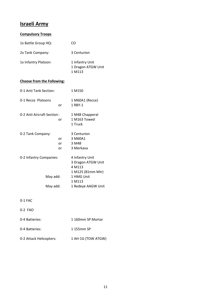## **Israeli Army**

#### **Compulsory Troops**

| 1x Battle Group HQ:  | CO.                                             |
|----------------------|-------------------------------------------------|
| 2x Tank Company:     | 3 Centurion                                     |
| 1x Infantry Platoon: | 1 Infantry Unit<br>1 Dragon ATGW Unit<br>1 M113 |

#### **Choose from the Following:**

|                            | 1 M150             |
|----------------------------|--------------------|
|                            | 1 M60A1 (Recce)    |
| or                         | 1 RBY-1            |
| 0-2 Anti Aircraft Section: | 1 M48 Chapperal    |
| or                         | 1 M163 Towed       |
|                            | 1 Truck            |
|                            | 3 Centurion        |
| or                         | 3 M60A1            |
| or                         | 3 M48              |
| or                         | 3 Merkava          |
| 0-2 Infantry Companies:    |                    |
|                            | 3 Dragon ATGW Unit |
|                            | 4 M113             |
|                            | 1 M125 (81mm Mtr)  |
| May add:                   | 1 HMG Unit         |
|                            | 1 M113             |
| May add:                   | 1 Redeye AAGW Unit |
|                            |                    |

0-1 FAC

- 0-2 FAO
- 0-4 Batteries: 1 160mm SP Mortar
- 0-4 Batteries: 1 155mm SP
- 0-2 Attack Helicopters: 1 AH-1G (TOW ATGW)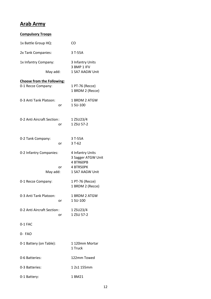## **Arab Army**

| <b>Compulsory Troops</b>          |    |                                     |
|-----------------------------------|----|-------------------------------------|
| 1x Battle Group HQ:               |    | CO                                  |
| 2x Tank Companies:                |    | 3 T-55A                             |
| 1x Infantry Company:              |    | 3 Infantry Units                    |
| May add:                          |    | 3 BMP 1 IFV<br>1 SA7 AAGW Unit      |
| <b>Choose from the Following:</b> |    |                                     |
| 0-1 Recce Company:                |    | 1 PT-76 (Recce)<br>1 BRDM 2 (Recce) |
| 0-3 Anti Tank Platoon:            |    | 1 BRDM 2 ATGW                       |
|                                   | or | 1 SU-100                            |
| 0-2 Anti Aircraft Section:        |    | 1 ZSU23/4                           |
|                                   | or | 1 ZSU 57-2                          |
| 0-2 Tank Company:                 |    | 3 T-55A                             |
|                                   | or | $3T-62$                             |
| 0-2 Infantry Companies:           |    | 4 Infantry Units                    |
|                                   |    | 3 Sagger ATGW Unit<br>4 BTR60PB     |
|                                   | or | 4 BTR50PK                           |
| May add:                          |    | 1 SA7 AAGW Unit                     |
| 0-1 Recce Company:                |    | 1 PT-76 (Recce)                     |
|                                   |    | 1 BRDM 2 (Recce)                    |
| 0-3 Anti Tank Platoon:            |    | 1 BRDM 2 ATGW<br>1 SU-100           |
|                                   | or |                                     |
| 0-2 Anti Aircraft Section:        | or | 1 ZSU23/4<br>1 ZSU 57-2             |
| 0-1 FAC                           |    |                                     |
| $0 - FAO$                         |    |                                     |
| 0-1 Battery (on Table):           |    | 1120mm Mortar<br>1 Truck            |
| 0-6 Batteries:                    |    | 122mm Towed                         |
| 0-3 Batteries:                    |    | 1 2s1 155mm                         |
| 0-1 Battery:                      |    | 1 BM21                              |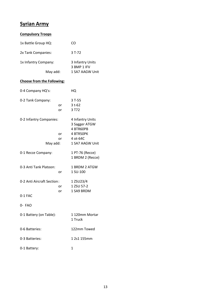# **Syrian Army**

| <b>Compulsory Troops</b>            |          |                                                                                            |
|-------------------------------------|----------|--------------------------------------------------------------------------------------------|
| 1x Battle Group HQ:                 |          | CO                                                                                         |
| 2x Tank Companies:                  |          | 3 T-72                                                                                     |
| 1x Infantry Company:                |          | 3 Infantry Units<br>3 BMP 1 IFV                                                            |
| May add:                            |          | 1 SA7 AAGW Unit                                                                            |
| <b>Choose from the Following:</b>   |          |                                                                                            |
| 0-4 Company HQ's:                   |          | HQ                                                                                         |
| 0-2 Tank Company:                   | or<br>or | $3T-55$<br>$3t-62$<br>3 T72                                                                |
| 0-2 Infantry Companies:<br>May add: | or<br>or | 4 Infantry Units<br>3 Sagger ATGW<br>4 BTR60PB<br>4 BTR50PK<br>4 ot-64C<br>1 SA7 AAGW Unit |
| 0-1 Recce Company:                  |          | 1 PT-76 (Recce)<br>1 BRDM 2 (Recce)                                                        |
| 0-3 Anti Tank Platoon:              | or       | 1 BRDM 2 ATGW<br>1 SU-100                                                                  |
| 0-2 Anti Aircraft Section:          | or<br>or | 1 ZSU23/4<br>1 ZSU 57-2<br>1 SA9 BRDM                                                      |
| 0-1 FAC                             |          |                                                                                            |
| 0- FAO                              |          |                                                                                            |
| 0-1 Battery (on Table):             |          | 1 120mm Mortar<br>1 Truck                                                                  |
| 0-6 Batteries:                      |          | 122mm Towed                                                                                |
| 0-3 Batteries:                      |          | 1 2s1 155mm                                                                                |
| 0-1 Battery:                        |          | 1                                                                                          |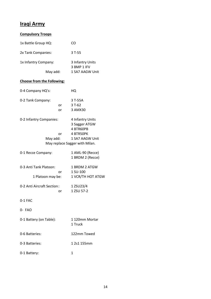## **Iraqi Army**

| <b>Compulsory Troops</b>                          |                                                                                                                  |
|---------------------------------------------------|------------------------------------------------------------------------------------------------------------------|
| 1x Battle Group HQ:                               | CO                                                                                                               |
| 2x Tank Companies:                                | 3 T-55                                                                                                           |
| 1x Infantry Company:                              | 3 Infantry Units<br>3 BMP 1 IFV                                                                                  |
| May add:                                          | 1 SA7 AAGW Unit                                                                                                  |
| <b>Choose from the Following:</b>                 |                                                                                                                  |
| 0-4 Company HQ's:                                 | HQ                                                                                                               |
| 0-2 Tank Company:<br>or<br>or                     | 3 T-55A<br>$3T-62$<br>3 AMX30                                                                                    |
| 0-2 Infantry Companies:<br>or<br>May add:         | 4 Infantry Units<br>3 Sagger ATGW<br>4 BTR60PB<br>4 BTR50PK<br>1 SA7 AAGW Unit<br>May replace Sagger with Milan. |
| 0-1 Recce Company:                                | 1 AML-90 (Recce)<br>1 BRDM 2 (Recce)                                                                             |
| 0-3 Anti Tank Platoon:<br>or<br>1 Platoon may be: | 1 BRDM 2 ATGW<br>1 SU-100<br>1 VCR/TH HOT ATGW                                                                   |
| 0-2 Anti Aircraft Section:<br>or                  | 1 ZSU23/4<br>1 ZSU 57-2                                                                                          |
| 0-1 FAC                                           |                                                                                                                  |
| 0- FAO                                            |                                                                                                                  |
| 0-1 Battery (on Table):                           | 1 120mm Mortar<br>1 Truck                                                                                        |
| 0-6 Batteries:                                    | 122mm Towed                                                                                                      |
| 0-3 Batteries:                                    | 1 2s1 155mm                                                                                                      |
| 0-1 Battery:                                      | 1                                                                                                                |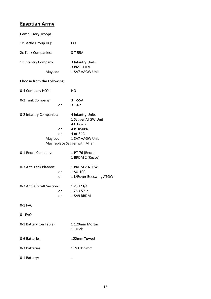# **Egyptian Army**

| <b>Compulsory Troops</b>            |          |                                                                                                |
|-------------------------------------|----------|------------------------------------------------------------------------------------------------|
| 1x Battle Group HQ:                 |          | CO                                                                                             |
| 2x Tank Companies:                  |          | 3 T-55A                                                                                        |
| 1x Infantry Company:                |          | 3 Infantry Units                                                                               |
| May add:                            |          | 3 BMP 1 IFV<br>1 SA7 AAGW Unit                                                                 |
| <b>Choose from the Following:</b>   |          |                                                                                                |
| 0-4 Company HQ's:                   |          | HQ                                                                                             |
| 0-2 Tank Company:                   | or       | 3 T-55A<br>$3T-62$                                                                             |
| 0-2 Infantry Companies:<br>May add: | or<br>or | 4 Infantry Units<br>1 Sagger ATGW Unit<br>4 OT-62B<br>4 BTR50PK<br>4 ot-64C<br>1 SA7 AAGW Unit |
|                                     |          | May replace Sagger with Milan                                                                  |
| 0-1 Recce Company:                  |          | 1 PT-76 (Recce)<br>1 BRDM 2 (Recce)                                                            |
| 0-3 Anti Tank Platoon:              | or<br>or | 1 BRDM 2 ATGW<br>1 SU-100<br>1 L/Rover Beeswing ATGW                                           |
| 0-2 Anti Aircraft Section:          | or<br>or | 1 ZSU23/4<br>1 ZSU 57-2<br>1 SA9 BRDM                                                          |
| 0-1 FAC                             |          |                                                                                                |
| 0- FAO                              |          |                                                                                                |
| 0-1 Battery (on Table):             |          | 1 120mm Mortar<br>1 Truck                                                                      |
| 0-6 Batteries:                      |          | 122mm Towed                                                                                    |
| 0-3 Batteries:                      |          | 1 2s1 155mm                                                                                    |
| 0-1 Battery:                        |          | 1                                                                                              |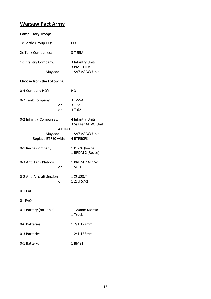## **Warsaw Pact Army**

#### **Compulsory Troops**

| 1x Battle Group HQ:               |           | CO                                     |
|-----------------------------------|-----------|----------------------------------------|
| 2x Tank Companies:                |           | 3 T-55A                                |
| 1x Infantry Company:              |           | 3 Infantry Units<br>3 BMP 1 IFV        |
| May add:                          |           | 1 SA7 AAGW Unit                        |
| <b>Choose from the Following:</b> |           |                                        |
| 0-4 Company HQ's:                 |           | HQ                                     |
| 0-2 Tank Company:                 | or<br>or  | 3 T-55A<br>3 T72<br>$3T-62$            |
| 0-2 Infantry Companies:           | 4 BTR60PB | 4 Infantry Units<br>3 Sagger ATGW Unit |
|                                   | May add:  | 1 SA7 AAGW Unit                        |
| Replace BTR60 with: 4 BTR50PK     |           |                                        |
| 0-1 Recce Company:                |           | 1 PT-76 (Recce)<br>1 BRDM 2 (Recce)    |
| 0-3 Anti Tank Platoon:            | or        | 1 BRDM 2 ATGW<br>1 SU-100              |
| 0-2 Anti Aircraft Section:        | or        | 1 ZSU23/4<br>1 ZSU 57-2                |
| 0-1 FAC                           |           |                                        |
| 0- FAO                            |           |                                        |
| 0-1 Battery (on Table):           |           | 1 120mm Mortar<br>1 Truck              |
| 0-6 Batteries:                    |           | 1 2s1 122mm                            |
| 0-3 Batteries:                    |           | 1 2s1 155mm                            |
| 0-1 Battery:                      |           | 1 BM21                                 |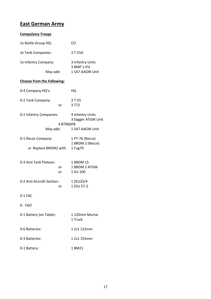## **East German Army**

#### **Compulsory Troops**

| 1x Battle Group HQ:               |           | CO                                     |  |
|-----------------------------------|-----------|----------------------------------------|--|
| 2x Tank Companies:                |           | 3 T-55A                                |  |
| 1x Infantry Company:              |           | 3 Infantry Units<br>3 BMP 1 IFV        |  |
| May add:                          |           | 1 SA7 AAGW Unit                        |  |
| <b>Choose from the Following:</b> |           |                                        |  |
| 0-4 Company HQ's:                 |           | HQ                                     |  |
| 0-2 Tank Company:                 | or        | $3T-55$<br>3 T72                       |  |
| 0-2 Infantry Companies:           |           | 4 Infantry Units<br>3 Sagger ATGW Unit |  |
| May add:                          | 4 BTR60PB | 1 SA7 AAGW Unit                        |  |
| 0-1 Recce Company:                |           | 1 PT-76 (Recce)<br>1 BRDM 2 (Recce)    |  |
| or Replace BRDM2 with             |           | 1 Fug70                                |  |
| 0-3 Anti Tank Platoon:            | or<br>or  | 1 BRDM 15<br>1 BRDM 2 ATGW<br>1 SU-100 |  |
| 0-2 Anti Aircraft Section:        | or        | 1 ZSU23/4<br>1 ZSU 57-2                |  |
| 0-1 FAC                           |           |                                        |  |
| 0- FAO                            |           |                                        |  |
| 0-1 Battery (on Table):           |           | 1 120mm Mortar<br>1 Truck              |  |
| 0-6 Batteries:                    |           | 1 2s1 122mm                            |  |
| 0-3 Batteries:                    |           | 1 2s1 155mm                            |  |
| 0-1 Battery:                      |           | 1 BM21                                 |  |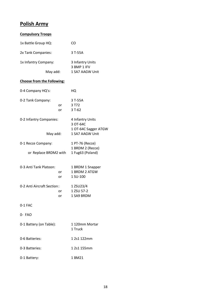## **Polish Army**

| <b>Compulsory Troops</b>          |          |                                                      |
|-----------------------------------|----------|------------------------------------------------------|
| 1x Battle Group HQ:               |          | CO                                                   |
| 2x Tank Companies:                |          | 3 T-55A                                              |
| 1x Infantry Company:              |          | 3 Infantry Units<br>3 BMP 1 IFV                      |
| May add:                          |          | 1 SA7 AAGW Unit                                      |
| <b>Choose from the Following:</b> |          |                                                      |
| 0-4 Company HQ's:                 |          | HQ                                                   |
| 0-2 Tank Company:                 | or<br>or | 3 T-55A<br>3 T72<br>$3T-62$                          |
| 0-2 Infantry Companies:           |          | 4 Infantry Units<br>3 OT-64C<br>1 OT-64C Sagger ATGW |
| May add:                          |          | 1 SA7 AAGW Unit                                      |
| 0-1 Recce Company:                |          | 1 PT-76 (Recce)<br>1 BRDM 2 (Recce)                  |
| or Replace BRDM2 with             |          | 1 Fug63 (Poland)                                     |
| 0-3 Anti Tank Platoon:            | or<br>or | 1 BRDM 1 Snapper<br>1 BRDM 2 ATGW<br>1 SU-100        |
| 0-2 Anti Aircraft Section:        | or<br>or | 1 ZSU23/4<br>1 ZSU 57-2<br>1 SA9 BRDM                |
| $0-1$ FAC                         |          |                                                      |
| 0- FAO                            |          |                                                      |
| 0-1 Battery (on Table):           |          | 1 120mm Mortar<br>1 Truck                            |
| 0-6 Batteries:                    |          | 1 2s1 122mm                                          |
| 0-3 Batteries:                    |          | 1 2s1 155mm                                          |
| 0-1 Battery:                      |          | 1 BM21                                               |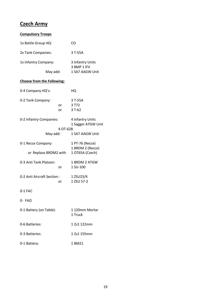## **Czech Army**

| <b>Compulsory Troops</b>          |          |                                        |
|-----------------------------------|----------|----------------------------------------|
| 1x Battle Group HQ:               |          | CO                                     |
| 2x Tank Companies:                |          | 3 T-55A                                |
| 1x Infantry Company:              |          | 3 Infantry Units<br>3 BMP 1 IFV        |
| May add:                          |          | 1 SA7 AAGW Unit                        |
| <b>Choose from the Following:</b> |          |                                        |
| 0-4 Company HQ's:                 |          | HQ                                     |
| 0-2 Tank Company:                 | or<br>or | 3 T-55A<br>3 T72<br>$3T-62$            |
| 0-2 Infantry Companies:           |          | 4 Infantry Units<br>1 Sagger ATGW Unit |
| May add:                          | 4 OT-62B | 1 SA7 AAGW Unit                        |
| 0-1 Recce Company:                |          | 1 PT-76 (Recce)                        |
| or Replace BRDM2 with             |          | 1 BRDM 2 (Recce)<br>1 OT65A (Czech)    |
| 0-3 Anti Tank Platoon:            | or       | 1 BRDM 2 ATGW<br>1 SU-100              |
| 0-2 Anti Aircraft Section:        | or       | 1 ZSU23/4<br>1 ZSU 57-2                |
| 0-1 FAC                           |          |                                        |
| 0- FAO                            |          |                                        |
| 0-1 Battery (on Table):           |          | 1 120mm Mortar<br>1 Truck              |
| 0-6 Batteries:                    |          | 1 2s1 122mm                            |
| 0-3 Batteries:                    |          | 1 2s1 155mm                            |
| 0-1 Battery:                      |          | 1 BM21                                 |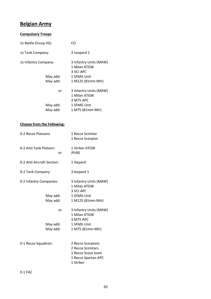# **Belgian Army**

| <b>Compulsory Troops</b> |                                                     |
|--------------------------|-----------------------------------------------------|
| 1x Battle Group HQ:      | CO                                                  |
| 1x Tank Company:         | 3 Leopard 1                                         |
| 1x Infantry Company:     | 3 Infantry Units (MAW)<br>1 Milan ATGW<br>3 VCI APC |
| May add:                 | 1 SFMG Unit                                         |
| May add:                 | 1 M125 (81mm Mtr)                                   |
| or                       | 3 Infantry Units (MAW)<br>1 Milan ATGW<br>3 M75 APC |
| May add:                 | 1 SFMG Unit                                         |
| May add:                 | 1 M75 (81mm Mtr)                                    |

#### **Choose from the Following:**

| 0-2 Recce Platoons           | 1 Recce Scimitar<br>1 Recce Scorpion                |
|------------------------------|-----------------------------------------------------|
| 0-2 Anti Tank Platoon:<br>or | 1 Striker ATGW<br>JPz90                             |
| 0-2 Anti Aircraft Section:   | 1 Gepard                                            |
| 0-2 Tank Company:            | 3 leopard 1                                         |
| 0-2 Infantry Companies:      | 3 Infantry Units (MAW)<br>1 Milan ATGW<br>3 VCI APC |
| May add:                     | 1 SFMG Unit                                         |
| May add:                     | 1 M125 (81mm Mtr)                                   |
| or                           | 3 Infantry Units (MAW)<br>1 Milan ATGW<br>3 M75 APC |
| May add:                     | 1 SFMG Unit                                         |
| May add:                     | 1 M75 (81mm Mtr)                                    |
| 0-1 Recce Squadron:          | 2 Recce Scorpions<br>2 Recce Scimitars              |
|                              | 1 Recce Scout team                                  |
|                              | 1 Recce Spartan APC                                 |
|                              | 1 Striker                                           |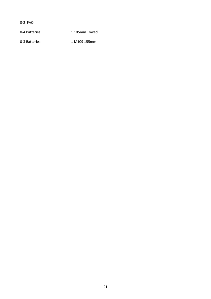0-2 FAO

0-4 Batteries: 1 105mm Towed

0-3 Batteries: 1 M109 155mm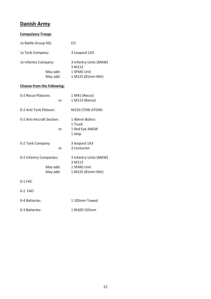#### **Danish Army**

#### **Compulsory Troops**

| CO                               |
|----------------------------------|
| 3 Leopard 1A3                    |
| 3 Infantry Units (MAW)<br>3 M113 |
| 1 SFMG Unit                      |
| 1 M125 (81mm Mtr)                |
|                                  |

#### **Choose from the Following:**

| 0-2 Recce Platoons         |    | 1 M41 (Recce)          |
|----------------------------|----|------------------------|
|                            | or | 1 M113 (Recce)         |
| 0-2 Anti Tank Platoon:     |    | M150 (TOW ATGW)        |
| 0-2 Anti Aircraft Section: |    | 1 40mm Bofors          |
|                            |    | 1 Truck                |
|                            | or | 1 Red Eye AAGW         |
|                            |    | 1 Jeep                 |
| 0-2 Tank Company:          |    | 3 leopard 1A3          |
|                            | or | 3 Centurion            |
| 0-2 Infantry Companies:    |    | 3 Infantry Units (MAW) |
|                            |    | 3 M113                 |
| May add:                   |    | 1 SFMG Unit            |
| May add:                   |    | 1 M125 (81mm Mtr)      |
| 0-1 FAC                    |    |                        |
| 0-2 FAO                    |    |                        |

| 0-4 Batteries: | 1105mm Towed |
|----------------|--------------|
| 0-3 Batteries: | 1 M109 155mm |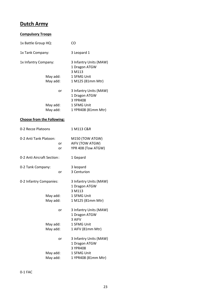## **Dutch Army**

| <b>Compulsory Troops</b>            |                                                                    |  |  |
|-------------------------------------|--------------------------------------------------------------------|--|--|
| 1x Battle Group HQ:                 | CO                                                                 |  |  |
| 1x Tank Company:                    | 3 Leopard 1                                                        |  |  |
| 1x Infantry Company:                | 3 Infantry Units (MAW)<br>1 Dragon ATGW<br>3 M113                  |  |  |
| May add:<br>May add:                | 1 SFMG Unit<br>1 M125 (81mm Mtr)                                   |  |  |
| or                                  | 3 Infantry Units (MAW)<br>1 Dragon ATGW<br>3 YPR408                |  |  |
| May add:<br>May add:                | 1 SFMG Unit<br>1 YPR408 (81mm Mtr)                                 |  |  |
| <b>Choose from the Following:</b>   |                                                                    |  |  |
| 0-2 Recce Platoons                  | 1 M113 C&R                                                         |  |  |
| 0-2 Anti Tank Platoon:<br>or<br>or  | M150 (TOW ATGW)<br>AIFV (TOW ATGW)<br>YPR 408 (Tow ATGW)           |  |  |
| 0-2 Anti Aircraft Section:          | 1 Gepard                                                           |  |  |
| 0-2 Tank Company:<br>or             | 3 leopard<br>3 Centurion                                           |  |  |
| 0-2 Infantry Companies:<br>May add: | 3 Infantry Units (MAW)<br>1 Dragon ATGW<br>3 M113<br>1 SFMG Unit   |  |  |
| May add:                            | 1 M125 (81mm Mtr)                                                  |  |  |
| or                                  | 3 Infantry Units (MAW)<br>1 Dragon ATGW<br>3 AIFV                  |  |  |
| May add:<br>May add:                | 1 SFMG Unit<br>1 AIFV (81mm Mtr)                                   |  |  |
| or<br>May add:                      | 3 Infantry Units (MAW)<br>1 Dragon ATGW<br>3 YPR408<br>1 SFMG Unit |  |  |
| May add:                            | 1 YPR408 (81mm Mtr)                                                |  |  |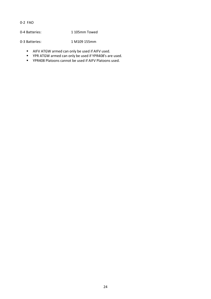0-2 FAO

0-4 Batteries: 1 105mm Towed

0-3 Batteries: 1 M109 155mm

- AIFV ATGW armed can only be used if AIFV used.
- YPR ATGW armed can only be used if YPR408's are used.
- YPR408 Platoons cannot be used if AIFV Platoons used.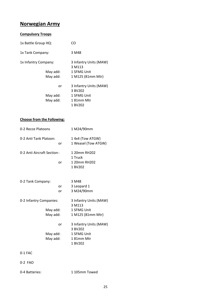## **Norwegian Army**

#### **Compulsory Troops**

| 1x Battle Group HQ:  |    | CΩ                                           |
|----------------------|----|----------------------------------------------|
| 1x Tank Company:     |    | 3 M48                                        |
| 1x Infantry Company: |    | 3 Infantry Units (MAW)<br>3 M <sub>113</sub> |
| May add:             |    | 1 SFMG Unit                                  |
| May add:             |    | 1 M125 (81mm Mtr)                            |
|                      | or | 3 Infantry Units (MAW)<br>3 BV202            |
| May add:             |    | 1 SFMG Unit                                  |
| May add:             |    | 1 81mm Mtr                                   |
|                      |    | 1 BV202                                      |

#### **Choose from the Following:**

| 0-2 Recce Platoons         | 1 M24/90mm             |
|----------------------------|------------------------|
| 0-2 Anti Tank Platoon:     | 1 4x4 (Tow ATGW)       |
| or                         | 1 Weasel (Tow ATGW)    |
| 0-2 Anti Aircraft Section: | 1 20mm RH202           |
|                            | 1 Truck                |
| or                         | 1 20mm RH202           |
|                            | 1 BV202                |
|                            |                        |
| 0-2 Tank Company:          | 3 M48                  |
| or.                        | 3 Leopard 1            |
| or                         | 3 M24/90mm             |
| 0-2 Infantry Companies:    | 3 Infantry Units (MAW) |
|                            | 3 M113                 |
| May add:                   | 1 SFMG Unit            |
| May add:                   | 1 M125 (81mm Mtr)      |
| or                         | 3 Infantry Units (MAW) |
|                            | 3 BV202                |
| May add:                   | 1 SFMG Unit            |
| May add:                   | 181mm Mtr              |
|                            | 1 BV202                |
| $0-1$ FAC                  |                        |

- 
- 0-2 FAO
- 0-4 Batteries: 1 105mm Towed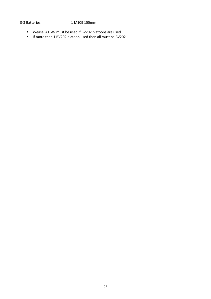#### 0-3 Batteries: 1 M109 155mm

- Weasel ATGW must be used if BV202 platoons are used
- If more than 1 BV202 platoon used then all must be BV202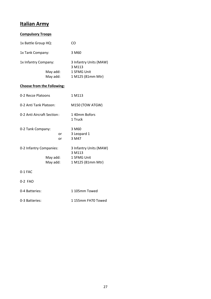# **Italian Army**

| <b>Compulsory Troops</b>                        |          |                                                                      |
|-------------------------------------------------|----------|----------------------------------------------------------------------|
| 1x Battle Group HQ:                             |          | CO                                                                   |
| 1x Tank Company:                                |          | 3 M <sub>60</sub>                                                    |
| 1x Infantry Company:<br>May add:<br>May add:    |          | 3 Infantry Units (MAW)<br>3 M113<br>1 SFMG Unit<br>1 M125 (81mm Mtr) |
| <b>Choose from the Following:</b>               |          |                                                                      |
| 0-2 Recce Platoons                              |          | 1 M113                                                               |
| 0-2 Anti Tank Platoon:                          |          | M150 (TOW ATGW)                                                      |
| 0-2 Anti Aircraft Section:                      |          | 140mm Bofors<br>1 Truck                                              |
| 0-2 Tank Company:                               | or<br>or | 3 M60<br>3 Leopard 1<br>3 M47                                        |
| 0-2 Infantry Companies:<br>May add:<br>May add: |          | 3 Infantry Units (MAW)<br>3 M113<br>1 SFMG Unit<br>1 M125 (81mm Mtr) |
| 0-1 FAC                                         |          |                                                                      |
| 0-2 FAO                                         |          |                                                                      |
| 0-4 Batteries:                                  |          | 1 105mm Towed                                                        |

0-3 Batteries: 1 155mm FH70 Towed